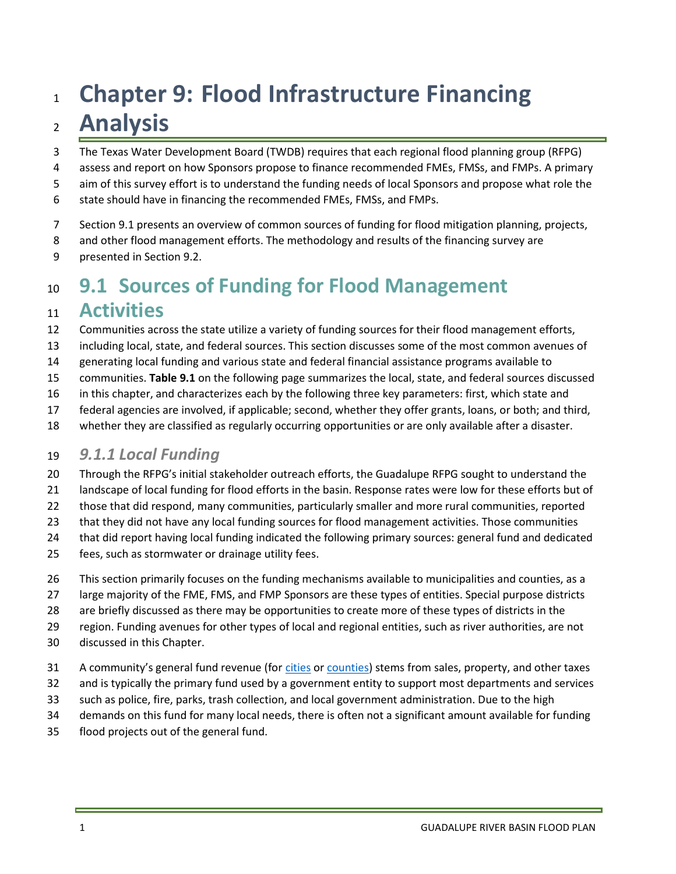# 1 Chapter 9: Flood Infrastructure Financing 2 **Analysis**

- 3 The Texas Water Development Board (TWDB) requires that each regional flood planning group (RFPG)
- 4 assess and report on how Sponsors propose to finance recommended FMEs, FMSs, and FMPs. A primary
- 5 aim of this survey effort is to understand the funding needs of local Sponsors and propose what role the
- 6 state should have in financing the recommended FMEs, FMSs, and FMPs.
- 7 Section 9.1 presents an overview of common sources of funding for flood mitigation planning, projects,
- 8 and other flood management efforts. The methodology and results of the financing survey are
- 9 presented in Section 9.2.

# 10 9.1 Sources of Funding for Flood Management

# 11 **Activities**

- 12 Communities across the state utilize a variety of funding sources for their flood management efforts,
- 13 including local, state, and federal sources. This section discusses some of the most common avenues of
- 14 generating local funding and various state and federal financial assistance programs available to
- 15 communities. Table 9.1 on the following page summarizes the local, state, and federal sources discussed
- 16 in this chapter, and characterizes each by the following three key parameters: first, which state and
- 17 federal agencies are involved, if applicable; second, whether they offer grants, loans, or both; and third,
- 18 whether they are classified as regularly occurring opportunities or are only available after a disaster.

### 19 9.1.1 Local Funding

- 20 Through the RFPG's initial stakeholder outreach efforts, the Guadalupe RFPG sought to understand the
- 21 landscape of local funding for flood efforts in the basin. Response rates were low for these efforts but of
- 22 those that did respond, many communities, particularly smaller and more rural communities, reported
- 23 that they did not have any local funding sources for flood management activities. Those communities
- 24 that did report having local funding indicated the following primary sources: general fund and dedicated
- 25 fees, such as stormwater or drainage utility fees.
- 26 This section primarily focuses on the funding mechanisms available to municipalities and counties, as a
- 27 large majority of the FME, FMS, and FMP Sponsors are these types of entities. Special purpose districts
- 28 are briefly discussed as there may be opportunities to create more of these types of districts in the
- 29 region. Funding avenues for other types of local and regional entities, such as river authorities, are not
- 30 discussed in this Chapter.
- 31 A community's general fund revenue (for cities or counties) stems from sales, property, and other taxes
- 32 and is typically the primary fund used by a government entity to support most departments and services
- 33 such as police, fire, parks, trash collection, and local government administration. Due to the high
- 34 demands on this fund for many local needs, there is often not a significant amount available for funding
- 35 flood projects out of the general fund.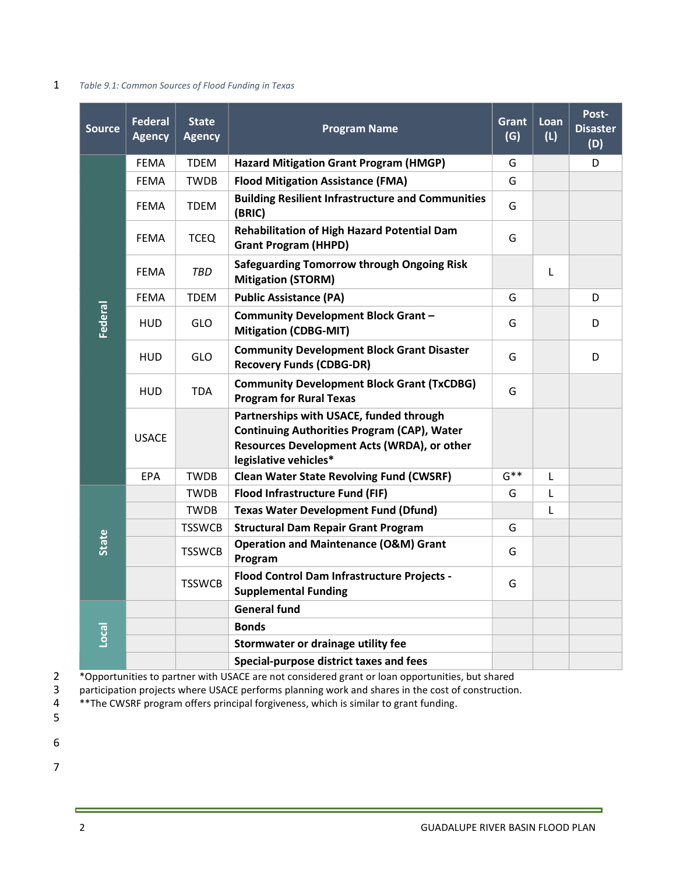#### 1 Table 9.1: Common Sources of Flood Funding in Texas

| <b>Source</b> | <b>Federal</b><br><b>Agency</b> | <b>State</b><br><b>Agency</b> | <b>Program Name</b>                                                                                                                                                   | Grant<br>(G) | Loan<br>(L) | Post-<br><b>Disaster</b><br>(D) |
|---------------|---------------------------------|-------------------------------|-----------------------------------------------------------------------------------------------------------------------------------------------------------------------|--------------|-------------|---------------------------------|
| Federal       | <b>FEMA</b>                     | <b>TDEM</b>                   | <b>Hazard Mitigation Grant Program (HMGP)</b>                                                                                                                         | G            |             | D                               |
|               | <b>FEMA</b>                     | <b>TWDB</b>                   | <b>Flood Mitigation Assistance (FMA)</b>                                                                                                                              | G            |             |                                 |
|               | <b>FEMA</b>                     | <b>TDEM</b>                   | <b>Building Resilient Infrastructure and Communities</b><br>(BRIC)                                                                                                    | G            |             |                                 |
|               | <b>FEMA</b>                     | <b>TCEQ</b>                   | Rehabilitation of High Hazard Potential Dam<br><b>Grant Program (HHPD)</b>                                                                                            | G            |             |                                 |
|               | <b>FEMA</b>                     | TBD                           | <b>Safeguarding Tomorrow through Ongoing Risk</b><br><b>Mitigation (STORM)</b>                                                                                        |              | Г           |                                 |
|               | FEMA                            | TDEM                          | <b>Public Assistance (PA)</b>                                                                                                                                         | G            |             | D                               |
|               | HUD                             | GLO                           | Community Development Block Grant-<br><b>Mitigation (CDBG-MIT)</b>                                                                                                    | G            |             | D                               |
|               | <b>HUD</b>                      | <b>GLO</b>                    | <b>Community Development Block Grant Disaster</b><br><b>Recovery Funds (CDBG-DR)</b>                                                                                  | G            |             | D                               |
|               | <b>HUD</b>                      | <b>TDA</b>                    | <b>Community Development Block Grant (TxCDBG)</b><br><b>Program for Rural Texas</b>                                                                                   | G            |             |                                 |
|               | <b>USACE</b>                    |                               | Partnerships with USACE, funded through<br><b>Continuing Authorities Program (CAP), Water</b><br>Resources Development Acts (WRDA), or other<br>legislative vehicles* |              |             |                                 |
|               | <b>EPA</b>                      | <b>TWDB</b>                   | <b>Clean Water State Revolving Fund (CWSRF)</b>                                                                                                                       | $G^{**}$     | L           |                                 |
| State         |                                 | <b>TWDB</b>                   | Flood Infrastructure Fund (FIF)                                                                                                                                       | G            | L           |                                 |
|               |                                 | <b>TWDB</b>                   | <b>Texas Water Development Fund (Dfund)</b>                                                                                                                           |              | L           |                                 |
|               |                                 | <b>TSSWCB</b>                 | <b>Structural Dam Repair Grant Program</b>                                                                                                                            | G            |             |                                 |
|               |                                 | <b>TSSWCB</b>                 | <b>Operation and Maintenance (O&amp;M) Grant</b><br>Program                                                                                                           | G            |             |                                 |
|               |                                 | <b>TSSWCB</b>                 | Flood Control Dam Infrastructure Projects -<br><b>Supplemental Funding</b>                                                                                            | G            |             |                                 |
| Local         |                                 |                               | <b>General fund</b>                                                                                                                                                   |              |             |                                 |
|               |                                 |                               | <b>Bonds</b>                                                                                                                                                          |              |             |                                 |
|               |                                 |                               | Stormwater or drainage utility fee                                                                                                                                    |              |             |                                 |
|               |                                 |                               | Special-purpose district taxes and fees                                                                                                                               |              |             |                                 |

<sup>\*</sup>Opportunities to partner with USACE are not considered grant or loan opportunities, but shared<br>3 participation projects where USACE performs planning work and shares in the cost of construction

participation projects where USACE performs planning work and shares in the cost of construction.

4 \*\*The CWSRF program offers principal forgiveness, which is similar to grant funding.

6

5

7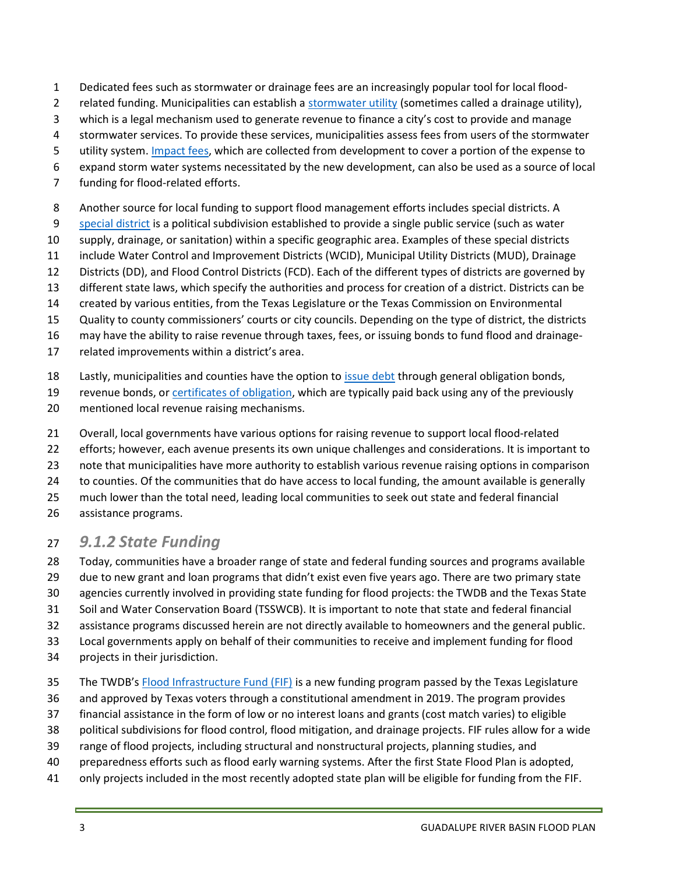- 1 Dedicated fees such as stormwater or drainage fees are an increasingly popular tool for local flood-
- 2 related funding. Municipalities can establish a stormwater utility (sometimes called a drainage utility),
- 3 which is a legal mechanism used to generate revenue to finance a city's cost to provide and manage
- 4 stormwater services. To provide these services, municipalities assess fees from users of the stormwater
- 5 utility system. Impact fees, which are collected from development to cover a portion of the expense to
- 6 expand storm water systems necessitated by the new development, can also be used as a source of local
- 7 funding for flood-related efforts.
- 8 Another source for local funding to support flood management efforts includes special districts. A
- 9 special district is a political subdivision established to provide a single public service (such as water
- 10 supply, drainage, or sanitation) within a specific geographic area. Examples of these special districts
- 11 include Water Control and Improvement Districts (WCID), Municipal Utility Districts (MUD), Drainage
- 12 Districts (DD), and Flood Control Districts (FCD). Each of the different types of districts are governed by
- 13 different state laws, which specify the authorities and process for creation of a district. Districts can be
- 14 created by various entities, from the Texas Legislature or the Texas Commission on Environmental
- 15 Quality to county commissioners' courts or city councils. Depending on the type of district, the districts
- 16 may have the ability to raise revenue through taxes, fees, or issuing bonds to fund flood and drainage-
- 17 related improvements within a district's area.
- 18 Lastly, municipalities and counties have the option to issue debt through general obligation bonds,
- 19 revenue bonds, or certificates of obligation, which are typically paid back using any of the previously 20 mentioned local revenue raising mechanisms.
- 21 Overall, local governments have various options for raising revenue to support local flood-related
- 22 efforts; however, each avenue presents its own unique challenges and considerations. It is important to
- 23 note that municipalities have more authority to establish various revenue raising options in comparison
- 24 to counties. Of the communities that do have access to local funding, the amount available is generally
- 25 much lower than the total need, leading local communities to seek out state and federal financial
- 26 assistance programs.

# 27 9.1.2 State Funding

- 28 Today, communities have a broader range of state and federal funding sources and programs available
- 29 due to new grant and loan programs that didn't exist even five years ago. There are two primary state
- 30 agencies currently involved in providing state funding for flood projects: the TWDB and the Texas State
- 31 Soil and Water Conservation Board (TSSWCB). It is important to note that state and federal financial
- 32 assistance programs discussed herein are not directly available to homeowners and the general public. 33 Local governments apply on behalf of their communities to receive and implement funding for flood
- 
- 34 projects in their jurisdiction.
- 35 The TWDB's Flood Infrastructure Fund (FIF) is a new funding program passed by the Texas Legislature
- 36 and approved by Texas voters through a constitutional amendment in 2019. The program provides
- 37 financial assistance in the form of low or no interest loans and grants (cost match varies) to eligible
- 38 political subdivisions for flood control, flood mitigation, and drainage projects. FIF rules allow for a wide
- 39 range of flood projects, including structural and nonstructural projects, planning studies, and
- 40 preparedness efforts such as flood early warning systems. After the first State Flood Plan is adopted,
- 41 only projects included in the most recently adopted state plan will be eligible for funding from the FIF.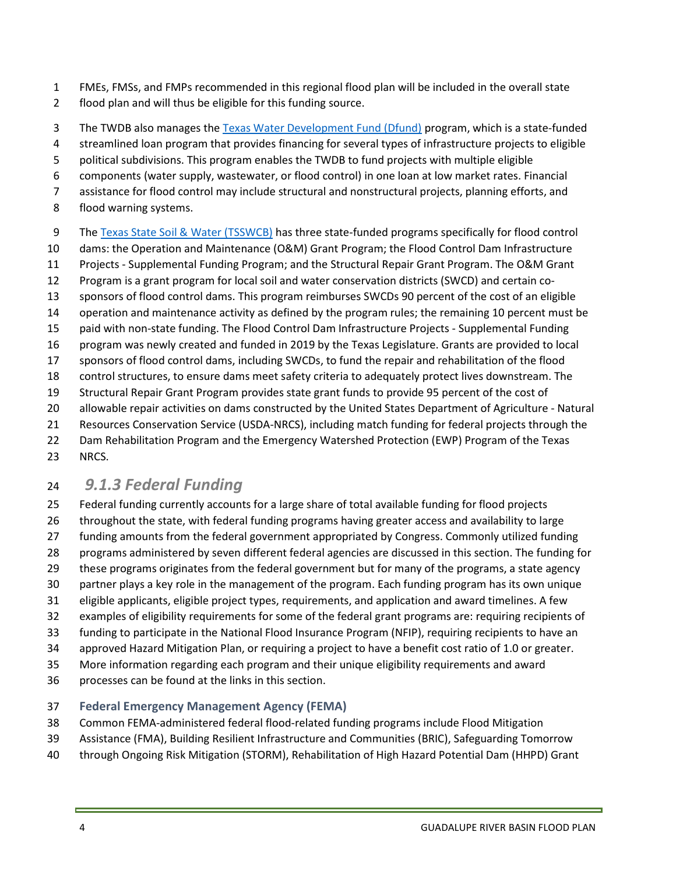- 1 FMEs, FMSs, and FMPs recommended in this regional flood plan will be included in the overall state
- 2 flood plan and will thus be eligible for this funding source.
- 3 The TWDB also manages the Texas Water Development Fund (Dfund) program, which is a state-funded
- 4 streamlined loan program that provides financing for several types of infrastructure projects to eligible
- 5 political subdivisions. This program enables the TWDB to fund projects with multiple eligible
- 6 components (water supply, wastewater, or flood control) in one loan at low market rates. Financial
- 7 assistance for flood control may include structural and nonstructural projects, planning efforts, and
- 8 flood warning systems.
- 9 The Texas State Soil & Water (TSSWCB) has three state-funded programs specifically for flood control
- 10 dams: the Operation and Maintenance (O&M) Grant Program; the Flood Control Dam Infrastructure
- 11 Projects Supplemental Funding Program; and the Structural Repair Grant Program. The O&M Grant
- 12 Program is a grant program for local soil and water conservation districts (SWCD) and certain co-
- 13 sponsors of flood control dams. This program reimburses SWCDs 90 percent of the cost of an eligible
- 14 operation and maintenance activity as defined by the program rules; the remaining 10 percent must be
- 15 paid with non-state funding. The Flood Control Dam Infrastructure Projects Supplemental Funding
- 16 program was newly created and funded in 2019 by the Texas Legislature. Grants are provided to local 17 sponsors of flood control dams, including SWCDs, to fund the repair and rehabilitation of the flood
- 18 control structures, to ensure dams meet safety criteria to adequately protect lives downstream. The
- 19 Structural Repair Grant Program provides state grant funds to provide 95 percent of the cost of
- 20 allowable repair activities on dams constructed by the United States Department of Agriculture Natural
- 21 Resources Conservation Service (USDA-NRCS), including match funding for federal projects through the
- 22 Dam Rehabilitation Program and the Emergency Watershed Protection (EWP) Program of the Texas
- 23 NRCS.

# <sup>24</sup>9.1.3 Federal Funding

- 25 Federal funding currently accounts for a large share of total available funding for flood projects
- 26 throughout the state, with federal funding programs having greater access and availability to large
- 27 funding amounts from the federal government appropriated by Congress. Commonly utilized funding
- 28 programs administered by seven different federal agencies are discussed in this section. The funding for
- 29 these programs originates from the federal government but for many of the programs, a state agency
- 30 partner plays a key role in the management of the program. Each funding program has its own unique
- 31 eligible applicants, eligible project types, requirements, and application and award timelines. A few
- 32 examples of eligibility requirements for some of the federal grant programs are: requiring recipients of
- 33 funding to participate in the National Flood Insurance Program (NFIP), requiring recipients to have an
- 34 approved Hazard Mitigation Plan, or requiring a project to have a benefit cost ratio of 1.0 or greater.
- 35 More information regarding each program and their unique eligibility requirements and award
- 36 processes can be found at the links in this section.

#### 37 Federal Emergency Management Agency (FEMA)

- 38 Common FEMA-administered federal flood-related funding programs include Flood Mitigation
- 39 Assistance (FMA), Building Resilient Infrastructure and Communities (BRIC), Safeguarding Tomorrow
- 40 through Ongoing Risk Mitigation (STORM), Rehabilitation of High Hazard Potential Dam (HHPD) Grant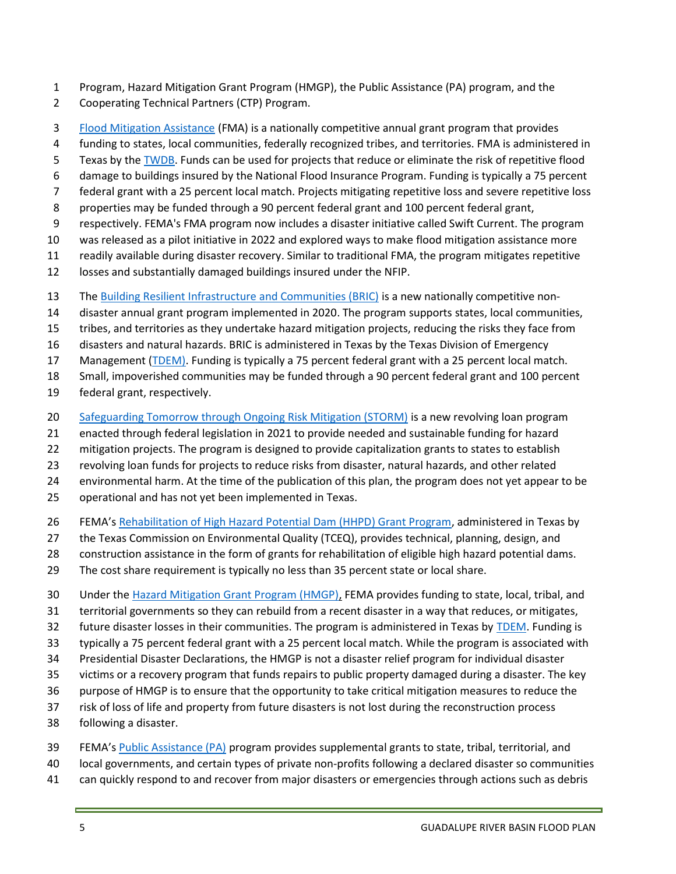- 1 Program, Hazard Mitigation Grant Program (HMGP), the Public Assistance (PA) program, and the
- 2 Cooperating Technical Partners (CTP) Program.
- 3 Flood Mitigation Assistance (FMA) is a nationally competitive annual grant program that provides
- 4 funding to states, local communities, federally recognized tribes, and territories. FMA is administered in
- 5 Texas by the TWDB. Funds can be used for projects that reduce or eliminate the risk of repetitive flood
- 6 damage to buildings insured by the National Flood Insurance Program. Funding is typically a 75 percent
- 7 federal grant with a 25 percent local match. Projects mitigating repetitive loss and severe repetitive loss
- 8 properties may be funded through a 90 percent federal grant and 100 percent federal grant,
- 9 respectively. FEMA's FMA program now includes a disaster initiative called Swift Current. The program
- 10 was released as a pilot initiative in 2022 and explored ways to make flood mitigation assistance more
- 11 readily available during disaster recovery. Similar to traditional FMA, the program mitigates repetitive
- 12 losses and substantially damaged buildings insured under the NFIP.
- 13 The Building Resilient Infrastructure and Communities (BRIC) is a new nationally competitive non-
- 14 disaster annual grant program implemented in 2020. The program supports states, local communities,
- 15 tribes, and territories as they undertake hazard mitigation projects, reducing the risks they face from
- 16 disasters and natural hazards. BRIC is administered in Texas by the Texas Division of Emergency
- 17 Management (TDEM). Funding is typically a 75 percent federal grant with a 25 percent local match.
- 18 Small, impoverished communities may be funded through a 90 percent federal grant and 100 percent
- 19 federal grant, respectively.
- 20 Safeguarding Tomorrow through Ongoing Risk Mitigation (STORM) is a new revolving loan program
- 21 enacted through federal legislation in 2021 to provide needed and sustainable funding for hazard
- 22 mitigation projects. The program is designed to provide capitalization grants to states to establish
- 23 revolving loan funds for projects to reduce risks from disaster, natural hazards, and other related
- 24 environmental harm. At the time of the publication of this plan, the program does not yet appear to be
- 25 operational and has not yet been implemented in Texas.
- 26 FEMA's Rehabilitation of High Hazard Potential Dam (HHPD) Grant Program, administered in Texas by
- 27 the Texas Commission on Environmental Quality (TCEQ), provides technical, planning, design, and
- 28 construction assistance in the form of grants for rehabilitation of eligible high hazard potential dams.
- 29 The cost share requirement is typically no less than 35 percent state or local share.
- 30 Under the Hazard Mitigation Grant Program (HMGP), FEMA provides funding to state, local, tribal, and
- 31 territorial governments so they can rebuild from a recent disaster in a way that reduces, or mitigates,
- 32 future disaster losses in their communities. The program is administered in Texas by TDEM. Funding is
- 33 typically a 75 percent federal grant with a 25 percent local match. While the program is associated with
- 34 Presidential Disaster Declarations, the HMGP is not a disaster relief program for individual disaster
- 35 victims or a recovery program that funds repairs to public property damaged during a disaster. The key
- 36 purpose of HMGP is to ensure that the opportunity to take critical mitigation measures to reduce the
- 37 risk of loss of life and property from future disasters is not lost during the reconstruction process
- 38 following a disaster.
- 39 FEMA's Public Assistance (PA) program provides supplemental grants to state, tribal, territorial, and
- 40 local governments, and certain types of private non-profits following a declared disaster so communities
- 41 can quickly respond to and recover from major disasters or emergencies through actions such as debris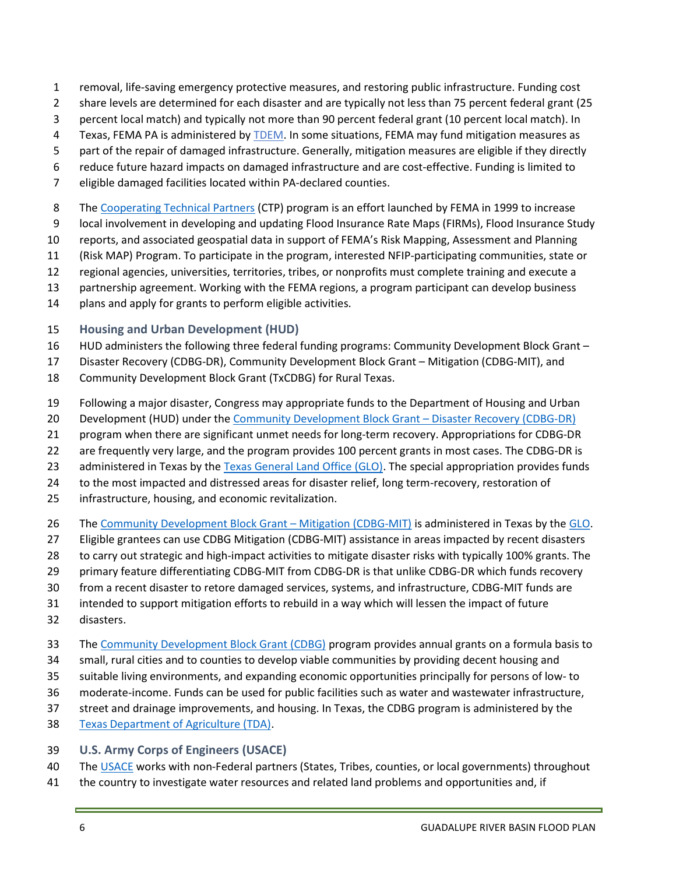- 1 removal, life-saving emergency protective measures, and restoring public infrastructure. Funding cost
- 2 share levels are determined for each disaster and are typically not less than 75 percent federal grant (25
- 3 percent local match) and typically not more than 90 percent federal grant (10 percent local match). In
- 4 Texas, FEMA PA is administered by TDEM. In some situations, FEMA may fund mitigation measures as
- 5 part of the repair of damaged infrastructure. Generally, mitigation measures are eligible if they directly
- 6 reduce future hazard impacts on damaged infrastructure and are cost-effective. Funding is limited to
- 7 eligible damaged facilities located within PA-declared counties.
- 8 The Cooperating Technical Partners (CTP) program is an effort launched by FEMA in 1999 to increase
- 9 local involvement in developing and updating Flood Insurance Rate Maps (FIRMs), Flood Insurance Study
- 10 reports, and associated geospatial data in support of FEMA's Risk Mapping, Assessment and Planning
- 11 (Risk MAP) Program. To participate in the program, interested NFIP-participating communities, state or
- 12 regional agencies, universities, territories, tribes, or nonprofits must complete training and execute a
- 13 partnership agreement. Working with the FEMA regions, a program participant can develop business
- 14 plans and apply for grants to perform eligible activities.

#### 15 Housing and Urban Development (HUD)

- 16 HUD administers the following three federal funding programs: Community Development Block Grant –
- 17 Disaster Recovery (CDBG-DR), Community Development Block Grant Mitigation (CDBG-MIT), and
- 18 Community Development Block Grant (TxCDBG) for Rural Texas.
- 19 Following a major disaster, Congress may appropriate funds to the Department of Housing and Urban
- 20 Development (HUD) under the Community Development Block Grant Disaster Recovery (CDBG-DR)
- 21 program when there are significant unmet needs for long-term recovery. Appropriations for CDBG-DR
- 22 are frequently very large, and the program provides 100 percent grants in most cases. The CDBG-DR is
- 23 administered in Texas by the Texas General Land Office (GLO). The special appropriation provides funds
- 24 to the most impacted and distressed areas for disaster relief, long term-recovery, restoration of
- 25 infrastructure, housing, and economic revitalization.
- 26 The Community Development Block Grant Mitigation (CDBG-MIT) is administered in Texas by the GLO.
- 27 Eligible grantees can use CDBG Mitigation (CDBG-MIT) assistance in areas impacted by recent disasters
- 28 to carry out strategic and high-impact activities to mitigate disaster risks with typically 100% grants. The
- 29 primary feature differentiating CDBG-MIT from CDBG-DR is that unlike CDBG-DR which funds recovery
- 30 from a recent disaster to retore damaged services, systems, and infrastructure, CDBG-MIT funds are
- 31 intended to support mitigation efforts to rebuild in a way which will lessen the impact of future
- 32 disasters.
- 33 The Community Development Block Grant (CDBG) program provides annual grants on a formula basis to
- 34 small, rural cities and to counties to develop viable communities by providing decent housing and
- 35 suitable living environments, and expanding economic opportunities principally for persons of low- to
- 36 moderate-income. Funds can be used for public facilities such as water and wastewater infrastructure,
- 37 street and drainage improvements, and housing. In Texas, the CDBG program is administered by the
- 38 Texas Department of Agriculture (TDA).

#### 39 U.S. Army Corps of Engineers (USACE)

- 40 The USACE works with non-Federal partners (States, Tribes, counties, or local governments) throughout
- 41 the country to investigate water resources and related land problems and opportunities and, if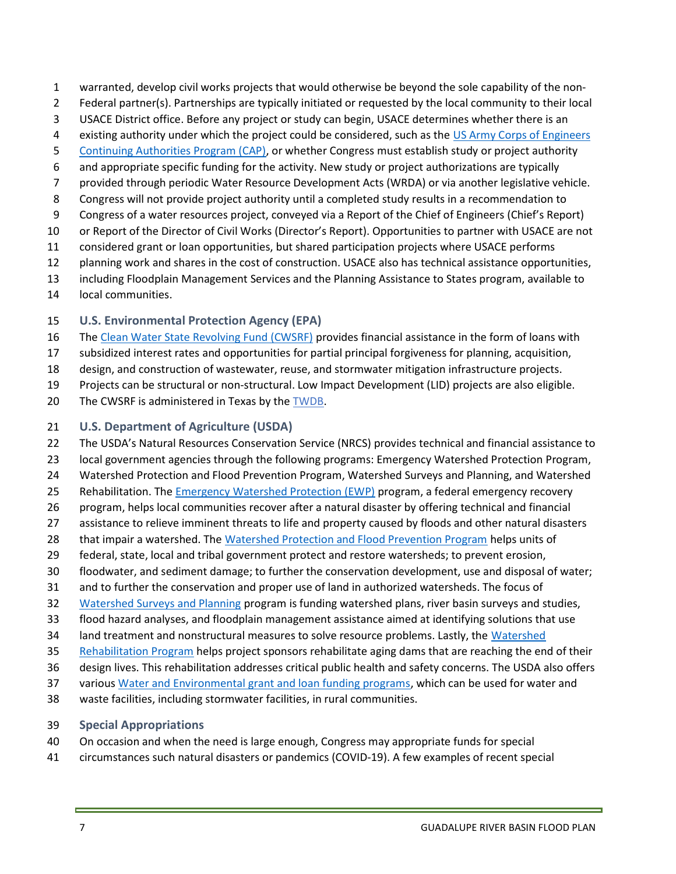- 1 warranted, develop civil works projects that would otherwise be beyond the sole capability of the non-
- 2 Federal partner(s). Partnerships are typically initiated or requested by the local community to their local
- 3 USACE District office. Before any project or study can begin, USACE determines whether there is an
- 4 existing authority under which the project could be considered, such as the US Army Corps of Engineers
- 5 Continuing Authorities Program (CAP), or whether Congress must establish study or project authority
- 6 and appropriate specific funding for the activity. New study or project authorizations are typically
- 7 provided through periodic Water Resource Development Acts (WRDA) or via another legislative vehicle.
- 8 Congress will not provide project authority until a completed study results in a recommendation to
- 9 Congress of a water resources project, conveyed via a Report of the Chief of Engineers (Chief's Report)
- 10 or Report of the Director of Civil Works (Director's Report). Opportunities to partner with USACE are not
- 11 considered grant or loan opportunities, but shared participation projects where USACE performs
- 12 planning work and shares in the cost of construction. USACE also has technical assistance opportunities,
- 13 including Floodplain Management Services and the Planning Assistance to States program, available to
- 14 local communities.
- 15 U.S. Environmental Protection Agency (EPA)
- 16 The Clean Water State Revolving Fund (CWSRF) provides financial assistance in the form of loans with
- 17 subsidized interest rates and opportunities for partial principal forgiveness for planning, acquisition,
- 18 design, and construction of wastewater, reuse, and stormwater mitigation infrastructure projects.
- 19 Projects can be structural or non-structural. Low Impact Development (LID) projects are also eligible.
- 20 The CWSRF is administered in Texas by the TWDB.

#### 21 U.S. Department of Agriculture (USDA)

- 22 The USDA's Natural Resources Conservation Service (NRCS) provides technical and financial assistance to
- 23 local government agencies through the following programs: Emergency Watershed Protection Program,
- 24 Watershed Protection and Flood Prevention Program, Watershed Surveys and Planning, and Watershed
- 25 Rehabilitation. The Emergency Watershed Protection (EWP) program, a federal emergency recovery
- 26 program, helps local communities recover after a natural disaster by offering technical and financial
- 27 assistance to relieve imminent threats to life and property caused by floods and other natural disasters
- 28 that impair a watershed. The Watershed Protection and Flood Prevention Program helps units of
- 29 federal, state, local and tribal government protect and restore watersheds; to prevent erosion,
- 30 floodwater, and sediment damage; to further the conservation development, use and disposal of water;
- 31 and to further the conservation and proper use of land in authorized watersheds. The focus of
- 32 Watershed Surveys and Planning program is funding watershed plans, river basin surveys and studies,
- 33 flood hazard analyses, and floodplain management assistance aimed at identifying solutions that use
- 34 land treatment and nonstructural measures to solve resource problems. Lastly, the Watershed
- 35 Rehabilitation Program helps project sponsors rehabilitate aging dams that are reaching the end of their
- 36 design lives. This rehabilitation addresses critical public health and safety concerns. The USDA also offers
- 37 various Water and Environmental grant and loan funding programs, which can be used for water and
- 38 waste facilities, including stormwater facilities, in rural communities.
- 39 Special Appropriations
- 40 On occasion and when the need is large enough, Congress may appropriate funds for special
- 41 circumstances such natural disasters or pandemics (COVID-19). A few examples of recent special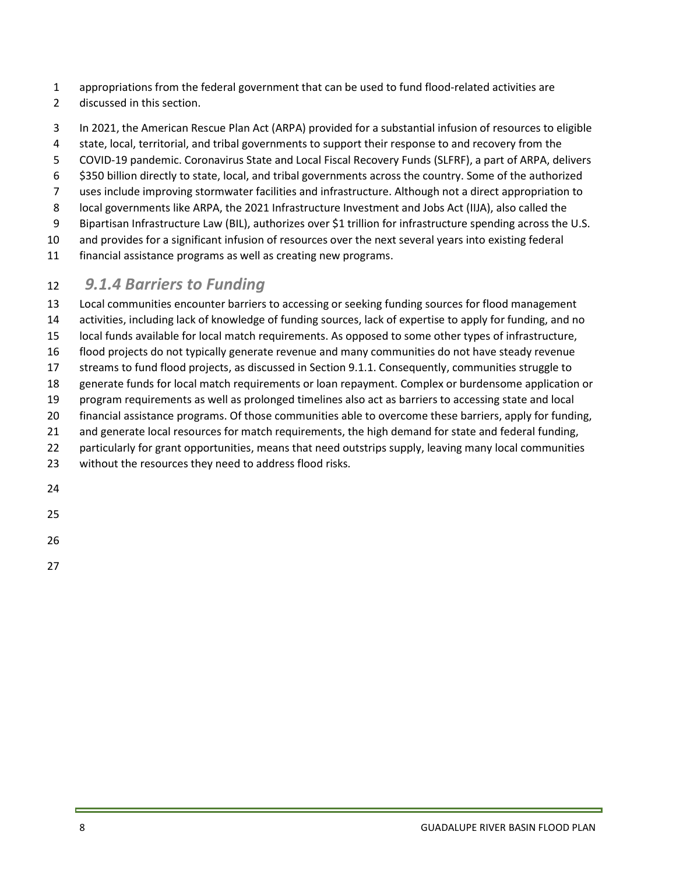- 1 appropriations from the federal government that can be used to fund flood-related activities are
- 2 discussed in this section.
- 3 In 2021, the American Rescue Plan Act (ARPA) provided for a substantial infusion of resources to eligible
- 4 state, local, territorial, and tribal governments to support their response to and recovery from the
- 5 COVID-19 pandemic. Coronavirus State and Local Fiscal Recovery Funds (SLFRF), a part of ARPA, delivers
- 6 \$350 billion directly to state, local, and tribal governments across the country. Some of the authorized
- 7 uses include improving stormwater facilities and infrastructure. Although not a direct appropriation to
- 8 local governments like ARPA, the 2021 Infrastructure Investment and Jobs Act (IIJA), also called the
- 9 Bipartisan Infrastructure Law (BIL), authorizes over \$1 trillion for infrastructure spending across the U.S.
- 10 and provides for a significant infusion of resources over the next several years into existing federal
- 11 financial assistance programs as well as creating new programs.

### 12 9.1.4 Barriers to Funding

13 Local communities encounter barriers to accessing or seeking funding sources for flood management 14 activities, including lack of knowledge of funding sources, lack of expertise to apply for funding, and no 15 local funds available for local match requirements. As opposed to some other types of infrastructure, 16 flood projects do not typically generate revenue and many communities do not have steady revenue 17 streams to fund flood projects, as discussed in Section 9.1.1. Consequently, communities struggle to 18 generate funds for local match requirements or loan repayment. Complex or burdensome application or 19 program requirements as well as prolonged timelines also act as barriers to accessing state and local 20 financial assistance programs. Of those communities able to overcome these barriers, apply for funding, 21 and generate local resources for match requirements, the high demand for state and federal funding, 22 particularly for grant opportunities, means that need outstrips supply, leaving many local communities 23 without the resources they need to address flood risks.

24

25

26

27